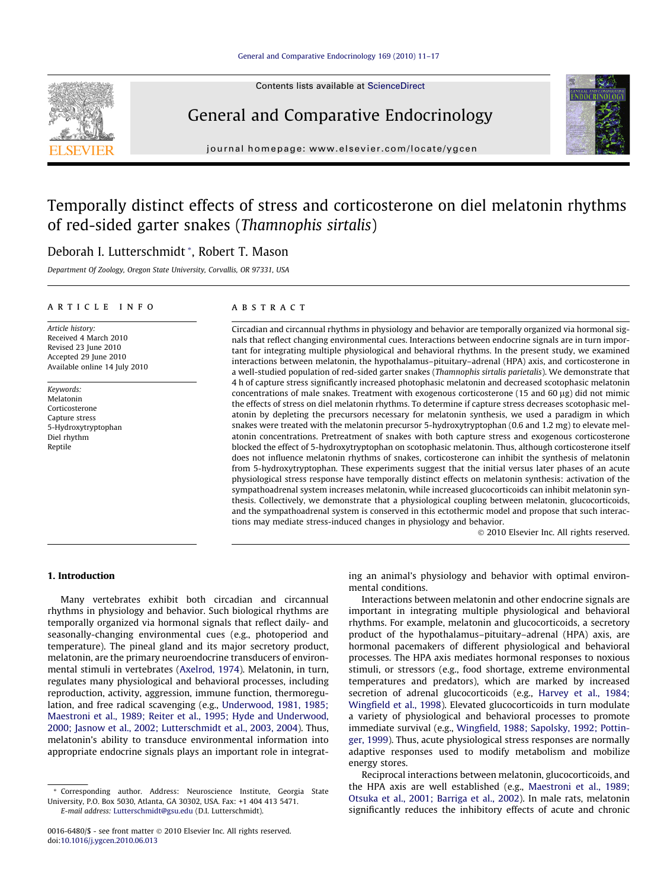

Contents lists available at [ScienceDirect](http://www.sciencedirect.com/science/journal/00166480)

# General and Comparative Endocrinology



journal homepage: [www.elsevier.com/locate/ygcen](http://www.elsevier.com/locate/ygcen)

# Temporally distinct effects of stress and corticosterone on diel melatonin rhythms of red-sided garter snakes (Thamnophis sirtalis)

# Deborah I. Lutterschmidt \*, Robert T. Mason

Department Of Zoology, Oregon State University, Corvallis, OR 97331, USA

### article info

Article history: Received 4 March 2010 Revised 23 June 2010 Accepted 29 June 2010 Available online 14 July 2010

Keywords: Melatonin Corticosterone Capture stress 5-Hydroxytryptophan Diel rhythm Reptile

# ABSTRACT

Circadian and circannual rhythms in physiology and behavior are temporally organized via hormonal signals that reflect changing environmental cues. Interactions between endocrine signals are in turn important for integrating multiple physiological and behavioral rhythms. In the present study, we examined interactions between melatonin, the hypothalamus–pituitary–adrenal (HPA) axis, and corticosterone in a well-studied population of red-sided garter snakes (Thamnophis sirtalis parietalis). We demonstrate that 4 h of capture stress significantly increased photophasic melatonin and decreased scotophasic melatonin concentrations of male snakes. Treatment with exogenous corticosterone (15 and 60  $\mu$ g) did not mimic the effects of stress on diel melatonin rhythms. To determine if capture stress decreases scotophasic melatonin by depleting the precursors necessary for melatonin synthesis, we used a paradigm in which snakes were treated with the melatonin precursor 5-hydroxytryptophan (0.6 and 1.2 mg) to elevate melatonin concentrations. Pretreatment of snakes with both capture stress and exogenous corticosterone blocked the effect of 5-hydroxytryptophan on scotophasic melatonin. Thus, although corticosterone itself does not influence melatonin rhythms of snakes, corticosterone can inhibit the synthesis of melatonin from 5-hydroxytryptophan. These experiments suggest that the initial versus later phases of an acute physiological stress response have temporally distinct effects on melatonin synthesis: activation of the sympathoadrenal system increases melatonin, while increased glucocorticoids can inhibit melatonin synthesis. Collectively, we demonstrate that a physiological coupling between melatonin, glucocorticoids, and the sympathoadrenal system is conserved in this ectothermic model and propose that such interactions may mediate stress-induced changes in physiology and behavior.

- 2010 Elsevier Inc. All rights reserved.

# 1. Introduction

Many vertebrates exhibit both circadian and circannual rhythms in physiology and behavior. Such biological rhythms are temporally organized via hormonal signals that reflect daily- and seasonally-changing environmental cues (e.g., photoperiod and temperature). The pineal gland and its major secretory product, melatonin, are the primary neuroendocrine transducers of environmental stimuli in vertebrates ([Axelrod, 1974\)](#page-5-0). Melatonin, in turn, regulates many physiological and behavioral processes, including reproduction, activity, aggression, immune function, thermoregulation, and free radical scavenging (e.g., [Underwood, 1981, 1985;](#page-6-0) [Maestroni et al., 1989; Reiter et al., 1995; Hyde and Underwood,](#page-6-0) [2000; Jasnow et al., 2002; Lutterschmidt et al., 2003, 2004\)](#page-6-0). Thus, melatonin's ability to transduce environmental information into appropriate endocrine signals plays an important role in integrating an animal's physiology and behavior with optimal environmental conditions.

Interactions between melatonin and other endocrine signals are important in integrating multiple physiological and behavioral rhythms. For example, melatonin and glucocorticoids, a secretory product of the hypothalamus–pituitary–adrenal (HPA) axis, are hormonal pacemakers of different physiological and behavioral processes. The HPA axis mediates hormonal responses to noxious stimuli, or stressors (e.g., food shortage, extreme environmental temperatures and predators), which are marked by increased secretion of adrenal glucocorticoids (e.g., [Harvey et al., 1984;](#page-6-0) [Wingfield et al., 1998](#page-6-0)). Elevated glucocorticoids in turn modulate a variety of physiological and behavioral processes to promote immediate survival (e.g., [Wingfield, 1988; Sapolsky, 1992; Pottin](#page-6-0)[ger, 1999\)](#page-6-0). Thus, acute physiological stress responses are normally adaptive responses used to modify metabolism and mobilize energy stores.

Reciprocal interactions between melatonin, glucocorticoids, and the HPA axis are well established (e.g., [Maestroni et al., 1989;](#page-6-0) [Otsuka et al., 2001; Barriga et al., 2002\)](#page-6-0). In male rats, melatonin significantly reduces the inhibitory effects of acute and chronic

<sup>\*</sup> Corresponding author. Address: Neuroscience Institute, Georgia State University, P.O. Box 5030, Atlanta, GA 30302, USA. Fax: +1 404 413 5471. E-mail address: [Lutterschmidt@gsu.edu](mailto:Lutterschmidt@gsu.edu) (D.I. Lutterschmidt).

<sup>0016-6480/\$ -</sup> see front matter © 2010 Elsevier Inc. All rights reserved. doi[:10.1016/j.ygcen.2010.06.013](http://dx.doi.org/10.1016/j.ygcen.2010.06.013)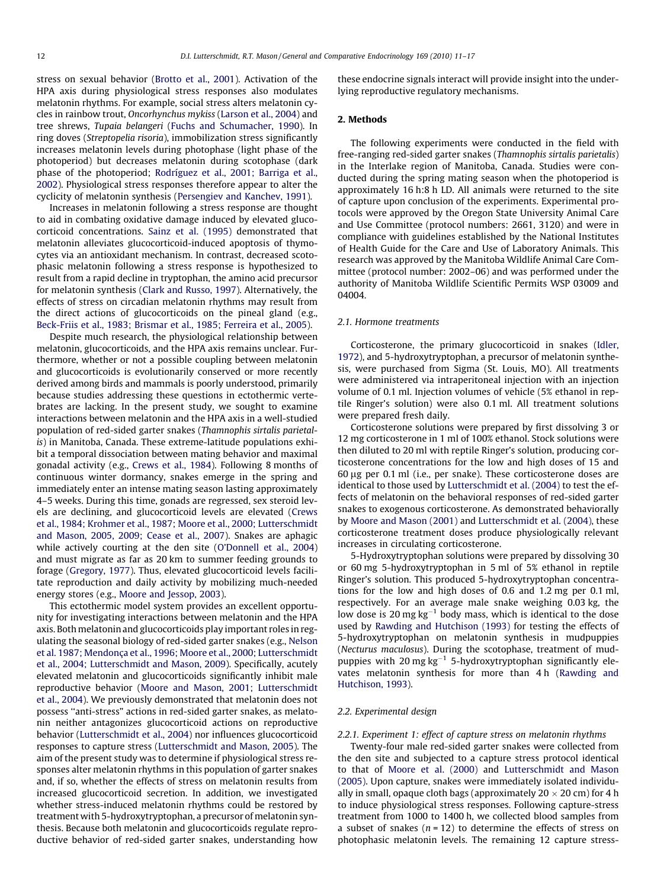stress on sexual behavior ([Brotto et al., 2001\)](#page-5-0). Activation of the HPA axis during physiological stress responses also modulates melatonin rhythms. For example, social stress alters melatonin cycles in rainbow trout, Oncorhynchus mykiss [\(Larson et al., 2004\)](#page-6-0) and tree shrews, Tupaia belangeri ([Fuchs and Schumacher, 1990](#page-6-0)). In ring doves (Streptopelia risoria), immobilization stress significantly increases melatonin levels during photophase (light phase of the photoperiod) but decreases melatonin during scotophase (dark phase of the photoperiod; [Rodríguez et al., 2001; Barriga et al.,](#page-6-0) [2002\)](#page-6-0). Physiological stress responses therefore appear to alter the cyclicity of melatonin synthesis ([Persengiev and Kanchev, 1991](#page-6-0)).

Increases in melatonin following a stress response are thought to aid in combating oxidative damage induced by elevated glucocorticoid concentrations. [Sainz et al. \(1995\)](#page-6-0) demonstrated that melatonin alleviates glucocorticoid-induced apoptosis of thymocytes via an antioxidant mechanism. In contrast, decreased scotophasic melatonin following a stress response is hypothesized to result from a rapid decline in tryptophan, the amino acid precursor for melatonin synthesis [\(Clark and Russo, 1997](#page-5-0)). Alternatively, the effects of stress on circadian melatonin rhythms may result from the direct actions of glucocorticoids on the pineal gland (e.g., [Beck-Friis et al., 1983; Brismar et al., 1985; Ferreira et al., 2005](#page-5-0)).

Despite much research, the physiological relationship between melatonin, glucocorticoids, and the HPA axis remains unclear. Furthermore, whether or not a possible coupling between melatonin and glucocorticoids is evolutionarily conserved or more recently derived among birds and mammals is poorly understood, primarily because studies addressing these questions in ectothermic vertebrates are lacking. In the present study, we sought to examine interactions between melatonin and the HPA axis in a well-studied population of red-sided garter snakes (Thamnophis sirtalis parietalis) in Manitoba, Canada. These extreme-latitude populations exhibit a temporal dissociation between mating behavior and maximal gonadal activity (e.g., [Crews et al., 1984\)](#page-5-0). Following 8 months of continuous winter dormancy, snakes emerge in the spring and immediately enter an intense mating season lasting approximately 4–5 weeks. During this time, gonads are regressed, sex steroid levels are declining, and glucocorticoid levels are elevated ([Crews](#page-5-0) [et al., 1984; Krohmer et al., 1987; Moore et al., 2000; Lutterschmidt](#page-5-0) [and Mason, 2005, 2009; Cease et al., 2007\)](#page-5-0). Snakes are aphagic while actively courting at the den site [\(O'Donnell et al., 2004\)](#page-6-0) and must migrate as far as 20 km to summer feeding grounds to forage [\(Gregory, 1977](#page-6-0)). Thus, elevated glucocorticoid levels facilitate reproduction and daily activity by mobilizing much-needed energy stores (e.g., [Moore and Jessop, 2003](#page-6-0)).

This ectothermic model system provides an excellent opportunity for investigating interactions between melatonin and the HPA axis. Both melatonin and glucocorticoids play important roles in regulating the seasonal biology of red-sided garter snakes (e.g., [Nelson](#page-6-0) [et al. 1987; Mendonça et al., 1996; Moore et al., 2000; Lutterschmidt](#page-6-0) [et al., 2004; Lutterschmidt and Mason, 2009\)](#page-6-0). Specifically, acutely elevated melatonin and glucocorticoids significantly inhibit male reproductive behavior ([Moore and Mason, 2001; Lutterschmidt](#page-6-0) [et al., 2004](#page-6-0)). We previously demonstrated that melatonin does not possess ''anti-stress" actions in red-sided garter snakes, as melatonin neither antagonizes glucocorticoid actions on reproductive behavior [\(Lutterschmidt et al., 2004\)](#page-6-0) nor influences glucocorticoid responses to capture stress [\(Lutterschmidt and Mason, 2005](#page-6-0)). The aim of the present study was to determine if physiological stress responses alter melatonin rhythms in this population of garter snakes and, if so, whether the effects of stress on melatonin results from increased glucocorticoid secretion. In addition, we investigated whether stress-induced melatonin rhythms could be restored by treatment with 5-hydroxytryptophan, a precursor of melatonin synthesis. Because both melatonin and glucocorticoids regulate reproductive behavior of red-sided garter snakes, understanding how these endocrine signals interact will provide insight into the underlying reproductive regulatory mechanisms.

#### 2. Methods

The following experiments were conducted in the field with free-ranging red-sided garter snakes (Thamnophis sirtalis parietalis) in the Interlake region of Manitoba, Canada. Studies were conducted during the spring mating season when the photoperiod is approximately 16 h:8 h LD. All animals were returned to the site of capture upon conclusion of the experiments. Experimental protocols were approved by the Oregon State University Animal Care and Use Committee (protocol numbers: 2661, 3120) and were in compliance with guidelines established by the National Institutes of Health Guide for the Care and Use of Laboratory Animals. This research was approved by the Manitoba Wildlife Animal Care Committee (protocol number: 2002–06) and was performed under the authority of Manitoba Wildlife Scientific Permits WSP 03009 and 04004.

#### 2.1. Hormone treatments

Corticosterone, the primary glucocorticoid in snakes [\(Idler,](#page-6-0) [1972\)](#page-6-0), and 5-hydroxytryptophan, a precursor of melatonin synthesis, were purchased from Sigma (St. Louis, MO). All treatments were administered via intraperitoneal injection with an injection volume of 0.1 ml. Injection volumes of vehicle (5% ethanol in reptile Ringer's solution) were also 0.1 ml. All treatment solutions were prepared fresh daily.

Corticosterone solutions were prepared by first dissolving 3 or 12 mg corticosterone in 1 ml of 100% ethanol. Stock solutions were then diluted to 20 ml with reptile Ringer's solution, producing corticosterone concentrations for the low and high doses of 15 and 60 lg per 0.1 ml (i.e., per snake). These corticosterone doses are identical to those used by [Lutterschmidt et al. \(2004\)](#page-6-0) to test the effects of melatonin on the behavioral responses of red-sided garter snakes to exogenous corticosterone. As demonstrated behaviorally by [Moore and Mason \(2001\)](#page-6-0) and [Lutterschmidt et al. \(2004\)](#page-6-0), these corticosterone treatment doses produce physiologically relevant increases in circulating corticosterone.

5-Hydroxytryptophan solutions were prepared by dissolving 30 or 60 mg 5-hydroxytryptophan in 5 ml of 5% ethanol in reptile Ringer's solution. This produced 5-hydroxytryptophan concentrations for the low and high doses of 0.6 and 1.2 mg per 0.1 ml, respectively. For an average male snake weighing 0.03 kg, the low dose is 20 mg  $kg^{-1}$  body mass, which is identical to the dose used by [Rawding and Hutchison \(1993\)](#page-6-0) for testing the effects of 5-hydroxytryptophan on melatonin synthesis in mudpuppies (Necturus maculosus). During the scotophase, treatment of mudpuppies with 20 mg  $kg^{-1}$  5-hydroxytryptophan significantly elevates melatonin synthesis for more than 4 h ([Rawding and](#page-6-0) [Hutchison, 1993\)](#page-6-0).

#### 2.2. Experimental design

#### 2.2.1. Experiment 1: effect of capture stress on melatonin rhythms

Twenty-four male red-sided garter snakes were collected from the den site and subjected to a capture stress protocol identical to that of [Moore et al. \(2000\)](#page-6-0) and [Lutterschmidt and Mason](#page-6-0) [\(2005\).](#page-6-0) Upon capture, snakes were immediately isolated individually in small, opaque cloth bags (approximately  $20 \times 20$  cm) for 4 h to induce physiological stress responses. Following capture-stress treatment from 1000 to 1400 h, we collected blood samples from a subset of snakes  $(n = 12)$  to determine the effects of stress on photophasic melatonin levels. The remaining 12 capture stress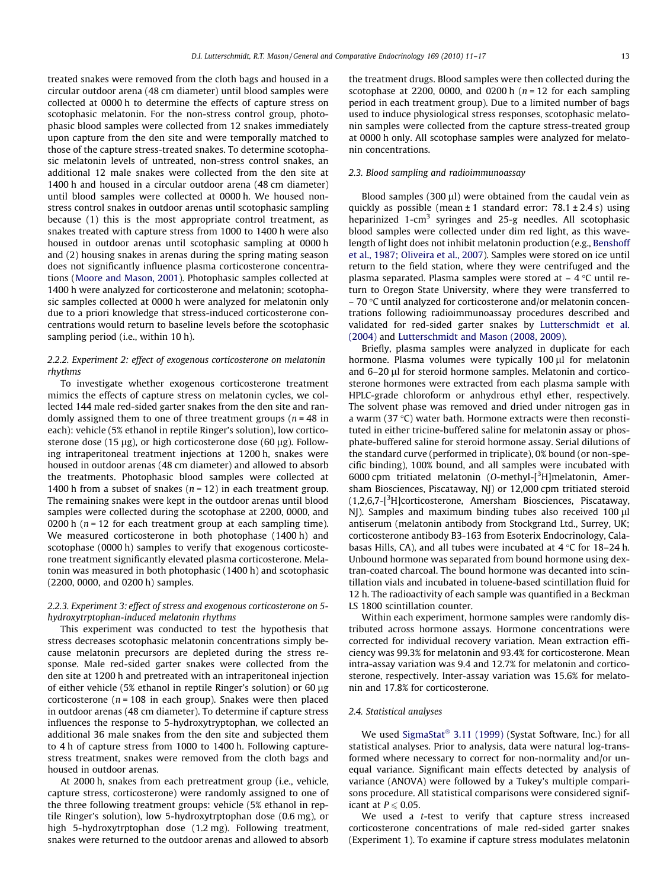treated snakes were removed from the cloth bags and housed in a circular outdoor arena (48 cm diameter) until blood samples were collected at 0000 h to determine the effects of capture stress on scotophasic melatonin. For the non-stress control group, photophasic blood samples were collected from 12 snakes immediately upon capture from the den site and were temporally matched to those of the capture stress-treated snakes. To determine scotophasic melatonin levels of untreated, non-stress control snakes, an additional 12 male snakes were collected from the den site at 1400 h and housed in a circular outdoor arena (48 cm diameter) until blood samples were collected at 0000 h. We housed nonstress control snakes in outdoor arenas until scotophasic sampling because (1) this is the most appropriate control treatment, as snakes treated with capture stress from 1000 to 1400 h were also housed in outdoor arenas until scotophasic sampling at 0000 h and (2) housing snakes in arenas during the spring mating season does not significantly influence plasma corticosterone concentrations [\(Moore and Mason, 2001\)](#page-6-0). Photophasic samples collected at 1400 h were analyzed for corticosterone and melatonin; scotophasic samples collected at 0000 h were analyzed for melatonin only due to a priori knowledge that stress-induced corticosterone concentrations would return to baseline levels before the scotophasic sampling period (i.e., within 10 h).

# 2.2.2. Experiment 2: effect of exogenous corticosterone on melatonin rhythms

To investigate whether exogenous corticosterone treatment mimics the effects of capture stress on melatonin cycles, we collected 144 male red-sided garter snakes from the den site and randomly assigned them to one of three treatment groups ( $n = 48$  in each): vehicle (5% ethanol in reptile Ringer's solution), low corticosterone dose (15  $\mu$ g), or high corticosterone dose (60  $\mu$ g). Following intraperitoneal treatment injections at 1200 h, snakes were housed in outdoor arenas (48 cm diameter) and allowed to absorb the treatments. Photophasic blood samples were collected at 1400 h from a subset of snakes ( $n = 12$ ) in each treatment group. The remaining snakes were kept in the outdoor arenas until blood samples were collected during the scotophase at 2200, 0000, and 0200 h ( $n = 12$  for each treatment group at each sampling time). We measured corticosterone in both photophase (1400 h) and scotophase (0000 h) samples to verify that exogenous corticosterone treatment significantly elevated plasma corticosterone. Melatonin was measured in both photophasic (1400 h) and scotophasic (2200, 0000, and 0200 h) samples.

#### 2.2.3. Experiment 3: effect of stress and exogenous corticosterone on 5 hydroxytrptophan-induced melatonin rhythms

This experiment was conducted to test the hypothesis that stress decreases scotophasic melatonin concentrations simply because melatonin precursors are depleted during the stress response. Male red-sided garter snakes were collected from the den site at 1200 h and pretreated with an intraperitoneal injection of either vehicle (5% ethanol in reptile Ringer's solution) or 60  $\mu$ g corticosterone ( $n = 108$  in each group). Snakes were then placed in outdoor arenas (48 cm diameter). To determine if capture stress influences the response to 5-hydroxytryptophan, we collected an additional 36 male snakes from the den site and subjected them to 4 h of capture stress from 1000 to 1400 h. Following capturestress treatment, snakes were removed from the cloth bags and housed in outdoor arenas.

At 2000 h, snakes from each pretreatment group (i.e., vehicle, capture stress, corticosterone) were randomly assigned to one of the three following treatment groups: vehicle (5% ethanol in reptile Ringer's solution), low 5-hydroxytrptophan dose (0.6 mg), or high 5-hydroxytrptophan dose (1.2 mg). Following treatment, snakes were returned to the outdoor arenas and allowed to absorb the treatment drugs. Blood samples were then collected during the scotophase at 2200, 0000, and 0200 h  $(n = 12$  for each sampling period in each treatment group). Due to a limited number of bags used to induce physiological stress responses, scotophasic melatonin samples were collected from the capture stress-treated group at 0000 h only. All scotophase samples were analyzed for melatonin concentrations.

#### 2.3. Blood sampling and radioimmunoassay

Blood samples (300  $\mu$ l) were obtained from the caudal vein as quickly as possible (mean  $\pm 1$  standard error: 78.1  $\pm$  2.4 s) using heparinized 1-cm<sup>3</sup> syringes and 25-g needles. All scotophasic blood samples were collected under dim red light, as this wavelength of light does not inhibit melatonin production (e.g., [Benshoff](#page-5-0) [et al., 1987; Oliveira et al., 2007\)](#page-5-0). Samples were stored on ice until return to the field station, where they were centrifuged and the plasma separated. Plasma samples were stored at  $-$  4  $\degree$ C until return to Oregon State University, where they were transferred to  $-70$  °C until analyzed for corticosterone and/or melatonin concentrations following radioimmunoassay procedures described and validated for red-sided garter snakes by [Lutterschmidt et al.](#page-6-0) [\(2004\)](#page-6-0) and [Lutterschmidt and Mason \(2008, 2009\)](#page-6-0).

Briefly, plasma samples were analyzed in duplicate for each hormone. Plasma volumes were typically  $100 \mu l$  for melatonin and 6–20 µl for steroid hormone samples. Melatonin and corticosterone hormones were extracted from each plasma sample with HPLC-grade chloroform or anhydrous ethyl ether, respectively. The solvent phase was removed and dried under nitrogen gas in a warm (37 $\degree$ C) water bath. Hormone extracts were then reconstituted in either tricine-buffered saline for melatonin assay or phosphate-buffered saline for steroid hormone assay. Serial dilutions of the standard curve (performed in triplicate), 0% bound (or non-specific binding), 100% bound, and all samples were incubated with 6000 cpm tritiated melatonin (O-methyl-[<sup>3</sup>H]melatonin, Amersham Biosciences, Piscataway, NJ) or 12,000 cpm tritiated steroid (1,2,6,7-[<sup>3</sup>H]corticosterone, Amersham Biosciences, Piscataway, NJ). Samples and maximum binding tubes also received 100 µl antiserum (melatonin antibody from Stockgrand Ltd., Surrey, UK; corticosterone antibody B3-163 from Esoterix Endocrinology, Calabasas Hills, CA), and all tubes were incubated at  $4^{\circ}$ C for 18–24 h. Unbound hormone was separated from bound hormone using dextran-coated charcoal. The bound hormone was decanted into scintillation vials and incubated in toluene-based scintillation fluid for 12 h. The radioactivity of each sample was quantified in a Beckman LS 1800 scintillation counter.

Within each experiment, hormone samples were randomly distributed across hormone assays. Hormone concentrations were corrected for individual recovery variation. Mean extraction efficiency was 99.3% for melatonin and 93.4% for corticosterone. Mean intra-assay variation was 9.4 and 12.7% for melatonin and corticosterone, respectively. Inter-assay variation was 15.6% for melatonin and 17.8% for corticosterone.

#### 2.4. Statistical analyses

We used [SigmaStat](#page-6-0)® [3.11 \(1999\)](#page-6-0) (Systat Software, Inc.) for all statistical analyses. Prior to analysis, data were natural log-transformed where necessary to correct for non-normality and/or unequal variance. Significant main effects detected by analysis of variance (ANOVA) were followed by a Tukey's multiple comparisons procedure. All statistical comparisons were considered significant at  $P \leqslant 0.05$ .

We used a *t*-test to verify that capture stress increased corticosterone concentrations of male red-sided garter snakes (Experiment 1). To examine if capture stress modulates melatonin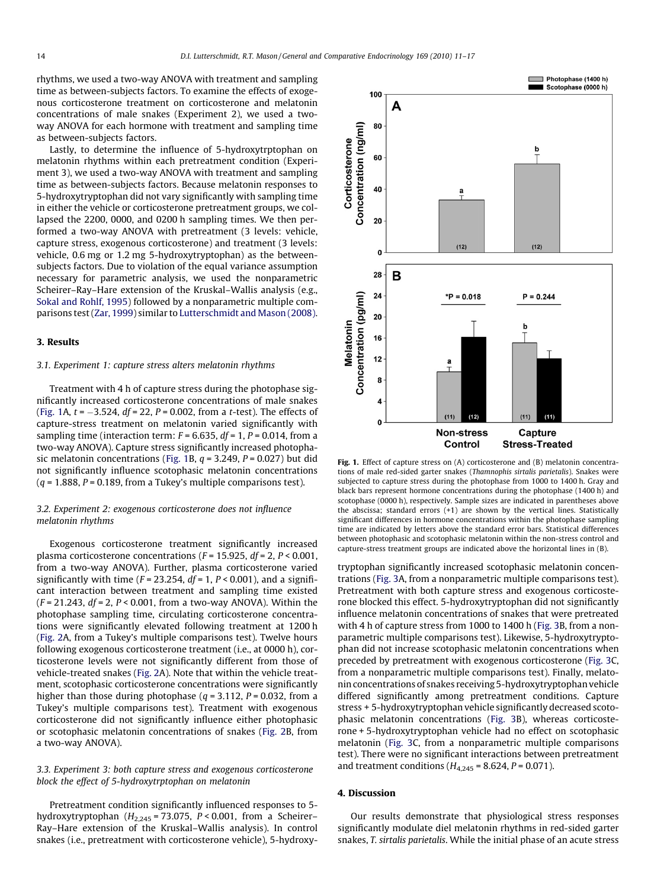<span id="page-3-0"></span>rhythms, we used a two-way ANOVA with treatment and sampling time as between-subjects factors. To examine the effects of exogenous corticosterone treatment on corticosterone and melatonin concentrations of male snakes (Experiment 2), we used a twoway ANOVA for each hormone with treatment and sampling time as between-subjects factors.

Lastly, to determine the influence of 5-hydroxytrptophan on melatonin rhythms within each pretreatment condition (Experiment 3), we used a two-way ANOVA with treatment and sampling time as between-subjects factors. Because melatonin responses to 5-hydroxytryptophan did not vary significantly with sampling time in either the vehicle or corticosterone pretreatment groups, we collapsed the 2200, 0000, and 0200 h sampling times. We then performed a two-way ANOVA with pretreatment (3 levels: vehicle, capture stress, exogenous corticosterone) and treatment (3 levels: vehicle, 0.6 mg or 1.2 mg 5-hydroxytryptophan) as the betweensubjects factors. Due to violation of the equal variance assumption necessary for parametric analysis, we used the nonparametric Scheirer–Ray–Hare extension of the Kruskal–Wallis analysis (e.g., [Sokal and Rohlf, 1995](#page-6-0)) followed by a nonparametric multiple comparisons test [\(Zar, 1999\)](#page-6-0) similar to [Lutterschmidt and Mason \(2008\).](#page-6-0)

#### 3. Results

#### 3.1. Experiment 1: capture stress alters melatonin rhythms

Treatment with 4 h of capture stress during the photophase significantly increased corticosterone concentrations of male snakes (Fig. 1A,  $t$  =  $-3.524$ , df = 22, P = 0.002, from a t-test). The effects of capture-stress treatment on melatonin varied significantly with sampling time (interaction term:  $F = 6.635$ ,  $df = 1$ ,  $P = 0.014$ , from a two-way ANOVA). Capture stress significantly increased photophasic melatonin concentrations (Fig. 1B,  $q = 3.249$ ,  $P = 0.027$ ) but did not significantly influence scotophasic melatonin concentrations  $(q = 1.888, P = 0.189,$  from a Tukey's multiple comparisons test).

# 3.2. Experiment 2: exogenous corticosterone does not influence melatonin rhythms

Exogenous corticosterone treatment significantly increased plasma corticosterone concentrations ( $F = 15.925$ ,  $df = 2$ ,  $P < 0.001$ , from a two-way ANOVA). Further, plasma corticosterone varied significantly with time ( $F = 23.254$ ,  $df = 1$ ,  $P < 0.001$ ), and a significant interaction between treatment and sampling time existed  $(F = 21.243, df = 2, P < 0.001, from a two-way ANOVA)$ . Within the photophase sampling time, circulating corticosterone concentrations were significantly elevated following treatment at 1200 h ([Fig. 2](#page-4-0)A, from a Tukey's multiple comparisons test). Twelve hours following exogenous corticosterone treatment (i.e., at 0000 h), corticosterone levels were not significantly different from those of vehicle-treated snakes [\(Fig. 2](#page-4-0)A). Note that within the vehicle treatment, scotophasic corticosterone concentrations were significantly higher than those during photophase ( $q = 3.112$ ,  $P = 0.032$ , from a Tukey's multiple comparisons test). Treatment with exogenous corticosterone did not significantly influence either photophasic or scotophasic melatonin concentrations of snakes [\(Fig. 2](#page-4-0)B, from a two-way ANOVA).

# 3.3. Experiment 3: both capture stress and exogenous corticosterone block the effect of 5-hydroxytrptophan on melatonin

Pretreatment condition significantly influenced responses to 5 hydroxytryptophan  $(H<sub>2,245</sub> = 73.075, P < 0.001,$  from a Scheirer-Ray–Hare extension of the Kruskal–Wallis analysis). In control snakes (i.e., pretreatment with corticosterone vehicle), 5-hydroxy-



Fig. 1. Effect of capture stress on (A) corticosterone and (B) melatonin concentrations of male red-sided garter snakes (Thamnophis sirtalis parietalis). Snakes were subjected to capture stress during the photophase from 1000 to 1400 h. Gray and black bars represent hormone concentrations during the photophase (1400 h) and scotophase (0000 h), respectively. Sample sizes are indicated in parentheses above the abscissa; standard errors  $(+1)$  are shown by the vertical lines. Statistically significant differences in hormone concentrations within the photophase sampling time are indicated by letters above the standard error bars. Statistical differences between photophasic and scotophasic melatonin within the non-stress control and capture-stress treatment groups are indicated above the horizontal lines in (B).

tryptophan significantly increased scotophasic melatonin concentrations [\(Fig. 3](#page-4-0)A, from a nonparametric multiple comparisons test). Pretreatment with both capture stress and exogenous corticosterone blocked this effect. 5-hydroxytryptophan did not significantly influence melatonin concentrations of snakes that were pretreated with 4 h of capture stress from 1000 to 1400 h ([Fig. 3B](#page-4-0), from a nonparametric multiple comparisons test). Likewise, 5-hydroxytryptophan did not increase scotophasic melatonin concentrations when preceded by pretreatment with exogenous corticosterone ([Fig. 3C](#page-4-0), from a nonparametric multiple comparisons test). Finally, melatonin concentrations of snakes receiving 5-hydroxytryptophan vehicle differed significantly among pretreatment conditions. Capture stress + 5-hydroxytryptophan vehicle significantly decreased scotophasic melatonin concentrations [\(Fig. 3](#page-4-0)B), whereas corticosterone + 5-hydroxytryptophan vehicle had no effect on scotophasic melatonin [\(Fig. 3C](#page-4-0), from a nonparametric multiple comparisons test). There were no significant interactions between pretreatment and treatment conditions ( $H_{4,245}$  = 8.624, P = 0.071).

# 4. Discussion

Our results demonstrate that physiological stress responses significantly modulate diel melatonin rhythms in red-sided garter snakes, T. sirtalis parietalis. While the initial phase of an acute stress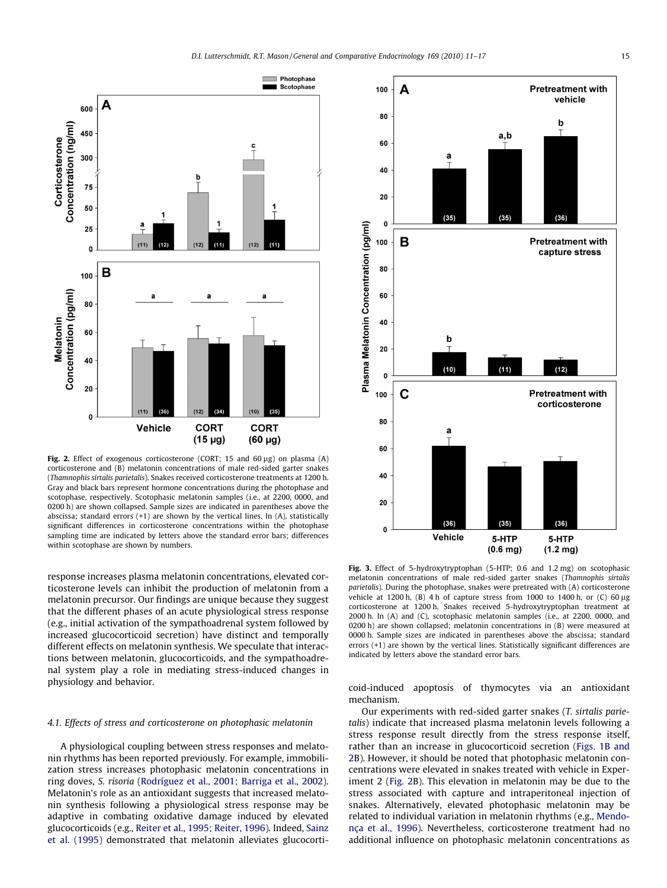<span id="page-4-0"></span>

Fig. 2. Effect of exogenous corticosterone (CORT; 15 and 60  $\mu$ g) on plasma (A) corticosterone and (B) melatonin concentrations of male red-sided garter snakes (Thamnophis sirtalis parietalis). Snakes received corticosterone treatments at 1200 h. Gray and black bars represent hormone concentrations during the photophase and scotophase, respectively. Scotophasic melatonin samples (i.e., at 2200, 0000, and 0200 h) are shown collapsed. Sample sizes are indicated in parentheses above the abscissa; standard errors (+1) are shown by the vertical lines. In (A), statistically significant differences in corticosterone concentrations within the photophase sampling time are indicated by letters above the standard error bars; differences within scotophase are shown by numbers.

response increases plasma melatonin concentrations, elevated corticosterone levels can inhibit the production of melatonin from a melatonin precursor. Our findings are unique because they suggest that the different phases of an acute physiological stress response (e.g., initial activation of the sympathoadrenal system followed by increased glucocorticoid secretion) have distinct and temporally different effects on melatonin synthesis. We speculate that interactions between melatonin, glucocorticoids, and the sympathoadrenal system play a role in mediating stress-induced changes in physiology and behavior.

# 4.1. Effects of stress and corticosterone on photophasic melatonin

A physiological coupling between stress responses and melatonin rhythms has been reported previously. For example, immobilization stress increases photophasic melatonin concentrations in ring doves, S. risoria ([Rodríguez et al., 2001; Barriga et al., 2002\)](#page-6-0). Melatonin's role as an antioxidant suggests that increased melatonin synthesis following a physiological stress response may be adaptive in combating oxidative damage induced by elevated glucocorticoids (e.g., [Reiter et al., 1995; Reiter, 1996\)](#page-6-0). Indeed, [Sainz](#page-6-0) [et al. \(1995\)](#page-6-0) demonstrated that melatonin alleviates glucocorti-



Fig. 3. Effect of 5-hydroxytryptophan (5-HTP; 0.6 and 1.2 mg) on scotophasic melatonin concentrations of male red-sided garter snakes (Thamnophis sirtalis parietalis). During the photophase, snakes were pretreated with (A) corticosterone vehicle at 1200 h, (B) 4 h of capture stress from 1000 to 1400 h, or (C) 60  $\mu$ g corticosterone at 1200 h. Snakes received 5-hydroxytryptophan treatment at 2000 h. In (A) and (C), scotophasic melatonin samples (i.e., at 2200, 0000, and 0200 h) are shown collapsed; melatonin concentrations in (B) were measured at 0000 h. Sample sizes are indicated in parentheses above the abscissa; standard errors (+1) are shown by the vertical lines. Statistically significant differences are indicated by letters above the standard error bars.

coid-induced apoptosis of thymocytes via an antioxidant mechanism.

Our experiments with red-sided garter snakes (T. sirtalis parietalis) indicate that increased plasma melatonin levels following a stress response result directly from the stress response itself, rather than an increase in glucocorticoid secretion [\(Figs. 1B and](#page-3-0) 2B). However, it should be noted that photophasic melatonin concentrations were elevated in snakes treated with vehicle in Experiment 2 (Fig. 2B). This elevation in melatonin may be due to the stress associated with capture and intraperitoneal injection of snakes. Alternatively, elevated photophasic melatonin may be related to individual variation in melatonin rhythms (e.g., [Mendo](#page-6-0)[nça et al., 1996\)](#page-6-0). Nevertheless, corticosterone treatment had no additional influence on photophasic melatonin concentrations as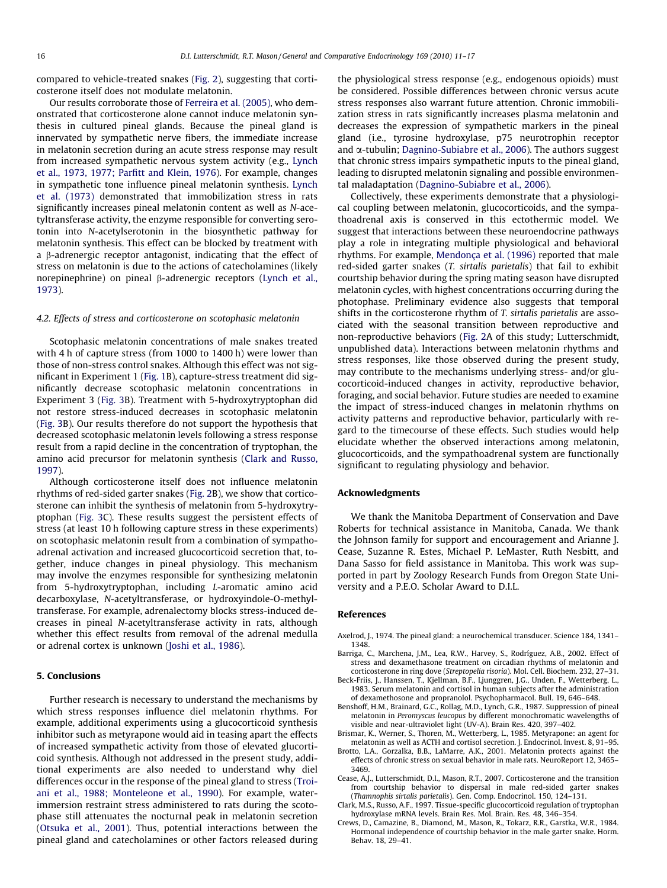<span id="page-5-0"></span>compared to vehicle-treated snakes [\(Fig. 2\)](#page-4-0), suggesting that corticosterone itself does not modulate melatonin.

Our results corroborate those of [Ferreira et al. \(2005\),](#page-6-0) who demonstrated that corticosterone alone cannot induce melatonin synthesis in cultured pineal glands. Because the pineal gland is innervated by sympathetic nerve fibers, the immediate increase in melatonin secretion during an acute stress response may result from increased sympathetic nervous system activity (e.g., [Lynch](#page-6-0) [et al., 1973, 1977; Parfitt and Klein, 1976\)](#page-6-0). For example, changes in sympathetic tone influence pineal melatonin synthesis. [Lynch](#page-6-0) [et al. \(1973\)](#page-6-0) demonstrated that immobilization stress in rats significantly increases pineal melatonin content as well as N-acetyltransferase activity, the enzyme responsible for converting serotonin into N-acetylserotonin in the biosynthetic pathway for melatonin synthesis. This effect can be blocked by treatment with a b-adrenergic receptor antagonist, indicating that the effect of stress on melatonin is due to the actions of catecholamines (likely norepinephrine) on pineal  $\beta$ -adrenergic receptors ([Lynch et al.,](#page-6-0) [1973\)](#page-6-0).

#### 4.2. Effects of stress and corticosterone on scotophasic melatonin

Scotophasic melatonin concentrations of male snakes treated with 4 h of capture stress (from 1000 to 1400 h) were lower than those of non-stress control snakes. Although this effect was not significant in Experiment 1 ([Fig. 1](#page-3-0)B), capture-stress treatment did significantly decrease scotophasic melatonin concentrations in Experiment 3 [\(Fig. 3](#page-4-0)B). Treatment with 5-hydroxytryptophan did not restore stress-induced decreases in scotophasic melatonin ([Fig. 3](#page-4-0)B). Our results therefore do not support the hypothesis that decreased scotophasic melatonin levels following a stress response result from a rapid decline in the concentration of tryptophan, the amino acid precursor for melatonin synthesis (Clark and Russo, 1997).

Although corticosterone itself does not influence melatonin rhythms of red-sided garter snakes ([Fig. 2](#page-4-0)B), we show that corticosterone can inhibit the synthesis of melatonin from 5-hydroxytryptophan ([Fig. 3](#page-4-0)C). These results suggest the persistent effects of stress (at least 10 h following capture stress in these experiments) on scotophasic melatonin result from a combination of sympathoadrenal activation and increased glucocorticoid secretion that, together, induce changes in pineal physiology. This mechanism may involve the enzymes responsible for synthesizing melatonin from 5-hydroxytryptophan, including L-aromatic amino acid decarboxylase, N-acetyltransferase, or hydroxyindole-O-methyltransferase. For example, adrenalectomy blocks stress-induced decreases in pineal N-acetyltransferase activity in rats, although whether this effect results from removal of the adrenal medulla or adrenal cortex is unknown ([Joshi et al., 1986\)](#page-6-0).

# 5. Conclusions

Further research is necessary to understand the mechanisms by which stress responses influence diel melatonin rhythms. For example, additional experiments using a glucocorticoid synthesis inhibitor such as metyrapone would aid in teasing apart the effects of increased sympathetic activity from those of elevated glucorticoid synthesis. Although not addressed in the present study, additional experiments are also needed to understand why diel differences occur in the response of the pineal gland to stress [\(Troi](#page-6-0)[ani et al., 1988; Monteleone et al., 1990](#page-6-0)). For example, waterimmersion restraint stress administered to rats during the scotophase still attenuates the nocturnal peak in melatonin secretion ([Otsuka et al., 2001](#page-6-0)). Thus, potential interactions between the pineal gland and catecholamines or other factors released during the physiological stress response (e.g., endogenous opioids) must be considered. Possible differences between chronic versus acute stress responses also warrant future attention. Chronic immobilization stress in rats significantly increases plasma melatonin and decreases the expression of sympathetic markers in the pineal gland (i.e., tyrosine hydroxylase, p75 neurotrophin receptor and  $\alpha$ -tubulin; [Dagnino-Subiabre et al., 2006](#page-6-0)). The authors suggest that chronic stress impairs sympathetic inputs to the pineal gland, leading to disrupted melatonin signaling and possible environmental maladaptation ([Dagnino-Subiabre et al., 2006](#page-6-0)).

Collectively, these experiments demonstrate that a physiological coupling between melatonin, glucocorticoids, and the sympathoadrenal axis is conserved in this ectothermic model. We suggest that interactions between these neuroendocrine pathways play a role in integrating multiple physiological and behavioral rhythms. For example, [Mendonça et al. \(1996\)](#page-6-0) reported that male red-sided garter snakes (T. sirtalis parietalis) that fail to exhibit courtship behavior during the spring mating season have disrupted melatonin cycles, with highest concentrations occurring during the photophase. Preliminary evidence also suggests that temporal shifts in the corticosterone rhythm of T. sirtalis parietalis are associated with the seasonal transition between reproductive and non-reproductive behaviors ([Fig. 2A](#page-4-0) of this study; Lutterschmidt, unpublished data). Interactions between melatonin rhythms and stress responses, like those observed during the present study, may contribute to the mechanisms underlying stress- and/or glucocorticoid-induced changes in activity, reproductive behavior, foraging, and social behavior. Future studies are needed to examine the impact of stress-induced changes in melatonin rhythms on activity patterns and reproductive behavior, particularly with regard to the timecourse of these effects. Such studies would help elucidate whether the observed interactions among melatonin, glucocorticoids, and the sympathoadrenal system are functionally significant to regulating physiology and behavior.

#### Acknowledgments

We thank the Manitoba Department of Conservation and Dave Roberts for technical assistance in Manitoba, Canada. We thank the Johnson family for support and encouragement and Arianne J. Cease, Suzanne R. Estes, Michael P. LeMaster, Ruth Nesbitt, and Dana Sasso for field assistance in Manitoba. This work was supported in part by Zoology Research Funds from Oregon State University and a P.E.O. Scholar Award to D.I.L.

#### References

- Axelrod, J., 1974. The pineal gland: a neurochemical transducer. Science 184, 1341– 1348.
- Barriga, C., Marchena, J.M., Lea, R.W., Harvey, S., Rodríguez, A.B., 2002. Effect of stress and dexamethasone treatment on circadian rhythms of melatonin and corticosterone in ring dove (Streptopelia risoria). Mol. Cell. Biochem. 232, 27–31.
- Beck-Friis, J., Hanssen, T., Kjellman, B.F., Ljunggren, J.G., Unden, F., Wetterberg, L., 1983. Serum melatonin and cortisol in human subjects after the administration of dexamethosone and propranolol. Psychopharmacol. Bull. 19, 646–648.
- Benshoff, H.M., Brainard, G.C., Rollag, M.D., Lynch, G.R., 1987. Suppression of pineal melatonin in Peromyscus leucopus by different monochromatic wavelengths of visible and near-ultraviolet light (UV-A). Brain Res. 420, 397–402.
- Brismar, K., Werner, S., Thoren, M., Wetterberg, L., 1985. Metyrapone: an agent for melatonin as well as ACTH and cortisol secretion. J. Endocrinol. Invest. 8, 91–95.
- Brotto, L.A., Gorzalka, B.B., LaMarre, A.K., 2001. Melatonin protects against the effects of chronic stress on sexual behavior in male rats. NeuroReport 12, 3465– 3469.
- Cease, A.J., Lutterschmidt, D.I., Mason, R.T., 2007. Corticosterone and the transition from courtship behavior to dispersal in male red-sided garter snakes (Thamnophis sirtalis parietalis). Gen. Comp. Endocrinol. 150, 124–131.
- Clark, M.S., Russo, A.F., 1997. Tissue-specific glucocorticoid regulation of tryptophan hydroxylase mRNA levels. Brain Res. Mol. Brain. Res. 48, 346–354.
- Crews, D., Camazine, B., Diamond, M., Mason, R., Tokarz, R.R., Garstka, W.R., 1984. Hormonal independence of courtship behavior in the male garter snake. Horm. Behav. 18, 29–41.